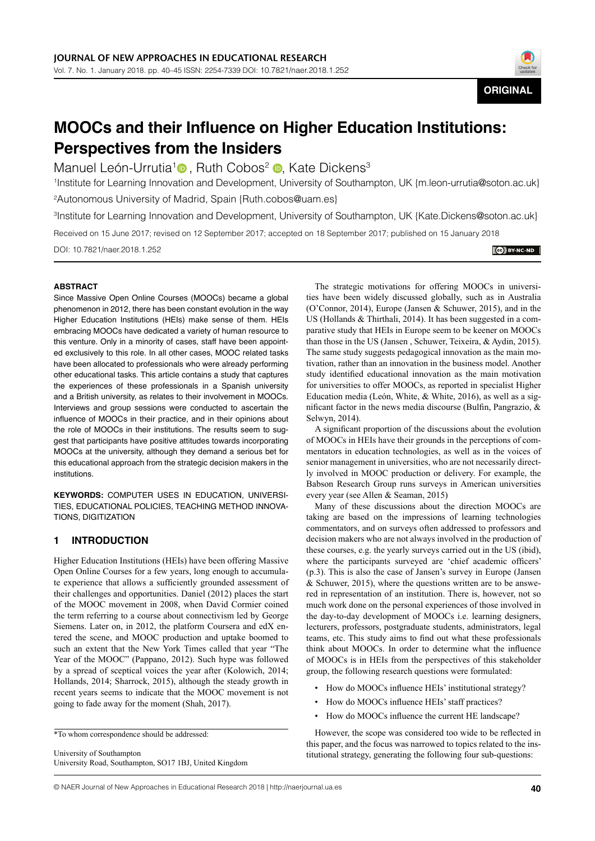

# **MOOCs and their Influence on Higher Education Institutions: Perspectives from the Insiders**

Manuel León-Urrutia<sup>1</sup> [,](https://orcid.org/0000-0002-3411-3009) Ruth Cobos<sup>2</sup> **D**, Kate Dickens<sup>3</sup>

1 Institute for Learning Innovation and Development, University of Southampton, UK {m.leon-urrutia@soton.ac.uk} 2 Autonomous University of Madrid, Spain {Ruth.cobos@uam.es}

3 Institute for Learning Innovation and Development, University of Southampton, UK {Kate.Dickens@soton.ac.uk}

Received on 15 June 2017; revised on 12 September 2017; accepted on 18 September 2017; published on 15 January 2018

DOI: 10.7821/naer.2018.1.252

#### **CO** BY-NC-ND

#### **ABSTRACT**

Since Massive Open Online Courses (MOOCs) became a global phenomenon in 2012, there has been constant evolution in the way Higher Education Institutions (HEIs) make sense of them. HEIs embracing MOOCs have dedicated a variety of human resource to this venture. Only in a minority of cases, staff have been appointed exclusively to this role. In all other cases, MOOC related tasks have been allocated to professionals who were already performing other educational tasks. This article contains a study that captures the experiences of these professionals in a Spanish university and a British university, as relates to their involvement in MOOCs. Interviews and group sessions were conducted to ascertain the influence of MOOCs in their practice, and in their opinions about the role of MOOCs in their institutions. The results seem to suggest that participants have positive attitudes towards incorporating MOOCs at the university, although they demand a serious bet for this educational approach from the strategic decision makers in the institutions.

**KEYWORDS:** COMPUTER USES IN EDUCATION, UNIVERSI-TIES, EDUCATIONAL POLICIES, TEACHING METHOD INNOVA-TIONS, DIGITIZATION

# **1 INTRODUCTION**

Higher Education Institutions (HEIs) have been offering Massive Open Online Courses for a few years, long enough to accumulate experience that allows a sufficiently grounded assessment of their challenges and opportunities. Daniel (2012) places the start of the MOOC movement in 2008, when David Cormier coined the term referring to a course about connectivism led by George Siemens. Later on, in 2012, the platform Coursera and edX entered the scene, and MOOC production and uptake boomed to such an extent that the New York Times called that year "The Year of the MOOC" (Pappano, 2012). Such hype was followed by a spread of sceptical voices the year after (Kolowich, 2014; Hollands, 2014; Sharrock, 2015), although the steady growth in recent years seems to indicate that the MOOC movement is not going to fade away for the moment (Shah, 2017).

University of Southampton University Road, Southampton, SO17 1BJ, United Kingdom

The strategic motivations for offering MOOCs in universities have been widely discussed globally, such as in Australia (O'Connor, 2014), Europe (Jansen & Schuwer, 2015), and in the US (Hollands & Thirthali, 2014). It has been suggested in a comparative study that HEIs in Europe seem to be keener on MOOCs than those in the US (Jansen , Schuwer, Teixeira, & Aydin, 2015). The same study suggests pedagogical innovation as the main motivation, rather than an innovation in the business model. Another study identified educational innovation as the main motivation for universities to offer MOOCs, as reported in specialist Higher Education media (León, White, & White, 2016), as well as a significant factor in the news media discourse (Bulfin, Pangrazio, & Selwyn, 2014).

A significant proportion of the discussions about the evolution of MOOCs in HEIs have their grounds in the perceptions of commentators in education technologies, as well as in the voices of senior management in universities, who are not necessarily directly involved in MOOC production or delivery. For example, the Babson Research Group runs surveys in American universities every year (see Allen & Seaman, 2015)

Many of these discussions about the direction MOOCs are taking are based on the impressions of learning technologies commentators, and on surveys often addressed to professors and decision makers who are not always involved in the production of these courses, e.g. the yearly surveys carried out in the US (ibid), where the participants surveyed are 'chief academic officers' (p.3). This is also the case of Jansen's survey in Europe (Jansen & Schuwer, 2015), where the questions written are to be answered in representation of an institution. There is, however, not so much work done on the personal experiences of those involved in the day-to-day development of MOOCs i.e. learning designers, lecturers, professors, postgraduate students, administrators, legal teams, etc. This study aims to find out what these professionals think about MOOCs. In order to determine what the influence of MOOCs is in HEIs from the perspectives of this stakeholder group, the following research questions were formulated:

- How do MOOCs influence HEIs' institutional strategy?
- How do MOOCs influence HEIs' staff practices?
- How do MOOCs influence the current HE landscape?

However, the scope was considered too wide to be reflected in this paper, and the focus was narrowed to topics related to the institutional strategy, generating the following four sub-questions:

<sup>\*</sup>To whom correspondence should be addressed: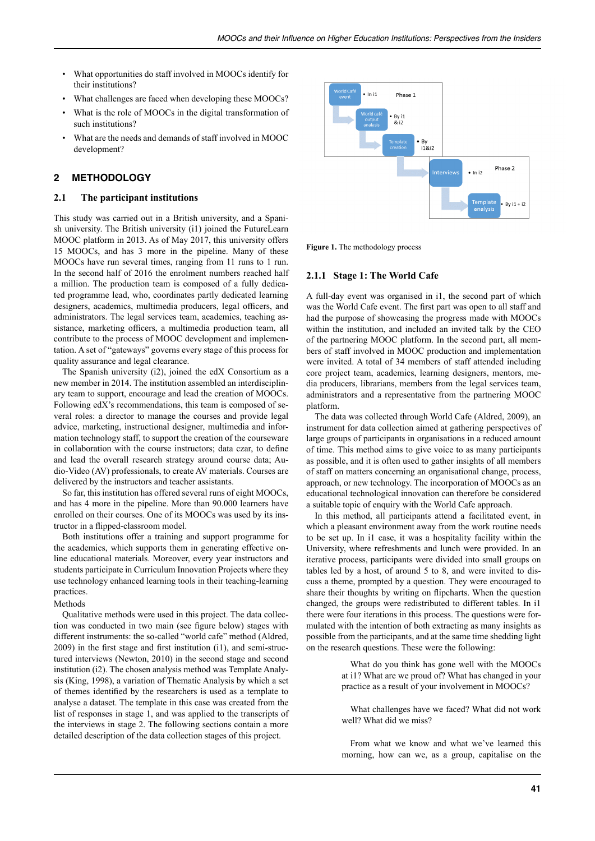- What opportunities do staff involved in MOOCs identify for their institutions?
- What challenges are faced when developing these MOOCs?
- What is the role of MOOCs in the digital transformation of such institutions?
- What are the needs and demands of staff involved in MOOC development?

# **2 METHODOLOGY**

#### **2.1 The participant institutions**

This study was carried out in a British university, and a Spanish university. The British university (i1) joined the FutureLearn MOOC platform in 2013. As of May 2017, this university offers 15 MOOCs, and has 3 more in the pipeline. Many of these MOOCs have run several times, ranging from 11 runs to 1 run. In the second half of 2016 the enrolment numbers reached half a million. The production team is composed of a fully dedicated programme lead, who, coordinates partly dedicated learning designers, academics, multimedia producers, legal officers, and administrators. The legal services team, academics, teaching assistance, marketing officers, a multimedia production team, all contribute to the process of MOOC development and implementation. A set of "gateways" governs every stage of this process for quality assurance and legal clearance.

The Spanish university (i2), joined the edX Consortium as a new member in 2014. The institution assembled an interdisciplinary team to support, encourage and lead the creation of MOOCs. Following edX's recommendations, this team is composed of several roles: a director to manage the courses and provide legal advice, marketing, instructional designer, multimedia and information technology staff, to support the creation of the courseware in collaboration with the course instructors; data czar, to define and lead the overall research strategy around course data; Audio-Video (AV) professionals, to create AV materials. Courses are delivered by the instructors and teacher assistants.

So far, this institution has offered several runs of eight MOOCs, and has 4 more in the pipeline. More than 90.000 learners have enrolled on their courses. One of its MOOCs was used by its instructor in a flipped-classroom model.

Both institutions offer a training and support programme for the academics, which supports them in generating effective online educational materials. Moreover, every year instructors and students participate in Curriculum Innovation Projects where they use technology enhanced learning tools in their teaching-learning practices.

#### Methods

Qualitative methods were used in this project. The data collection was conducted in two main (see figure below) stages with different instruments: the so-called "world cafe" method (Aldred, 2009) in the first stage and first institution (i1), and semi-structured interviews (Newton, 2010) in the second stage and second institution (i2). The chosen analysis method was Template Analysis (King, 1998), a variation of Thematic Analysis by which a set of themes identified by the researchers is used as a template to analyse a dataset. The template in this case was created from the list of responses in stage 1, and was applied to the transcripts of the interviews in stage 2. The following sections contain a more detailed description of the data collection stages of this project.



Figure 1. The methodology process

#### **2.1.1 Stage 1: The World Cafe**

A full-day event was organised in i1, the second part of which was the World Cafe event. The first part was open to all staff and had the purpose of showcasing the progress made with MOOCs within the institution, and included an invited talk by the CEO of the partnering MOOC platform. In the second part, all members of staff involved in MOOC production and implementation were invited. A total of 34 members of staff attended including core project team, academics, learning designers, mentors, media producers, librarians, members from the legal services team, administrators and a representative from the partnering MOOC platform.

The data was collected through World Cafe (Aldred, 2009), an instrument for data collection aimed at gathering perspectives of large groups of participants in organisations in a reduced amount of time. This method aims to give voice to as many participants as possible, and it is often used to gather insights of all members of staff on matters concerning an organisational change, process, approach, or new technology. The incorporation of MOOCs as an educational technological innovation can therefore be considered a suitable topic of enquiry with the World Cafe approach.

In this method, all participants attend a facilitated event, in which a pleasant environment away from the work routine needs to be set up. In i1 case, it was a hospitality facility within the University, where refreshments and lunch were provided. In an iterative process, participants were divided into small groups on tables led by a host, of around 5 to 8, and were invited to discuss a theme, prompted by a question. They were encouraged to share their thoughts by writing on flipcharts. When the question changed, the groups were redistributed to different tables. In i1 there were four iterations in this process. The questions were formulated with the intention of both extracting as many insights as possible from the participants, and at the same time shedding light on the research questions. These were the following:

> What do you think has gone well with the MOOCs at i1? What are we proud of? What has changed in your practice as a result of your involvement in MOOCs?

What challenges have we faced? What did not work well? What did we miss?

From what we know and what we've learned this morning, how can we, as a group, capitalise on the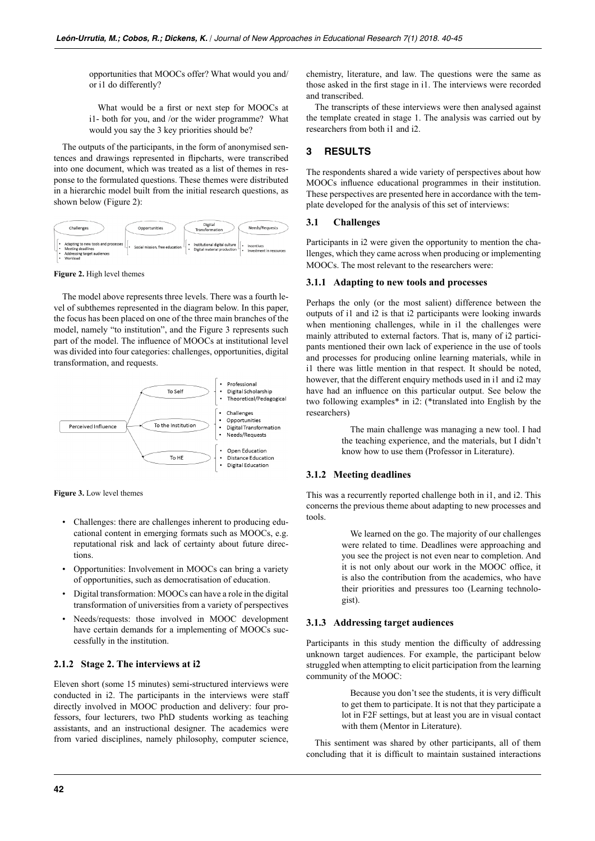opportunities that MOOCs offer? What would you and/ or i1 do differently?

What would be a first or next step for MOOCs at i1- both for you, and /or the wider programme? What would you say the 3 key priorities should be?

The outputs of the participants, in the form of anonymised sentences and drawings represented in flipcharts, were transcribed into one document, which was treated as a list of themes in response to the formulated questions. These themes were distributed in a hierarchic model built from the initial research questions, as shown below (Figure 2):



**Figure 2.** High level themes

The model above represents three levels. There was a fourth level of subthemes represented in the diagram below. In this paper, the focus has been placed on one of the three main branches of the model, namely "to institution", and the Figure 3 represents such part of the model. The influence of MOOCs at institutional level was divided into four categories: challenges, opportunities, digital transformation, and requests.



**Figure 3.** Low level themes

- Challenges: there are challenges inherent to producing educational content in emerging formats such as MOOCs, e.g. reputational risk and lack of certainty about future directions.
- Opportunities: Involvement in MOOCs can bring a variety of opportunities, such as democratisation of education.
- Digital transformation: MOOCs can have a role in the digital transformation of universities from a variety of perspectives
- Needs/requests: those involved in MOOC development have certain demands for a implementing of MOOCs successfully in the institution.

#### **2.1.2 Stage 2. The interviews at i2**

Eleven short (some 15 minutes) semi-structured interviews were conducted in i2. The participants in the interviews were staff directly involved in MOOC production and delivery: four professors, four lecturers, two PhD students working as teaching assistants, and an instructional designer. The academics were from varied disciplines, namely philosophy, computer science, chemistry, literature, and law. The questions were the same as those asked in the first stage in i1. The interviews were recorded and transcribed.

The transcripts of these interviews were then analysed against the template created in stage 1. The analysis was carried out by researchers from both i1 and i2.

# **3 RESULTS**

The respondents shared a wide variety of perspectives about how MOOCs influence educational programmes in their institution. These perspectives are presented here in accordance with the template developed for the analysis of this set of interviews:

## **3.1 Challenges**

Participants in i2 were given the opportunity to mention the challenges, which they came across when producing or implementing MOOCs. The most relevant to the researchers were:

#### **3.1.1 Adapting to new tools and processes**

Perhaps the only (or the most salient) difference between the outputs of i1 and i2 is that i2 participants were looking inwards when mentioning challenges, while in i1 the challenges were mainly attributed to external factors. That is, many of i2 participants mentioned their own lack of experience in the use of tools and processes for producing online learning materials, while in i1 there was little mention in that respect. It should be noted, however, that the different enquiry methods used in i1 and i2 may have had an influence on this particular output. See below the two following examples\* in i2: (\*translated into English by the researchers)

> The main challenge was managing a new tool. I had the teaching experience, and the materials, but I didn't know how to use them (Professor in Literature).

#### **3.1.2 Meeting deadlines**

This was a recurrently reported challenge both in i1, and i2. This concerns the previous theme about adapting to new processes and tools.

> We learned on the go. The majority of our challenges were related to time. Deadlines were approaching and you see the project is not even near to completion. And it is not only about our work in the MOOC office, it is also the contribution from the academics, who have their priorities and pressures too (Learning technologist).

### **3.1.3 Addressing target audiences**

Participants in this study mention the difficulty of addressing unknown target audiences. For example, the participant below struggled when attempting to elicit participation from the learning community of the MOOC:

> Because you don't see the students, it is very difficult to get them to participate. It is not that they participate a lot in F2F settings, but at least you are in visual contact with them (Mentor in Literature).

This sentiment was shared by other participants, all of them concluding that it is difficult to maintain sustained interactions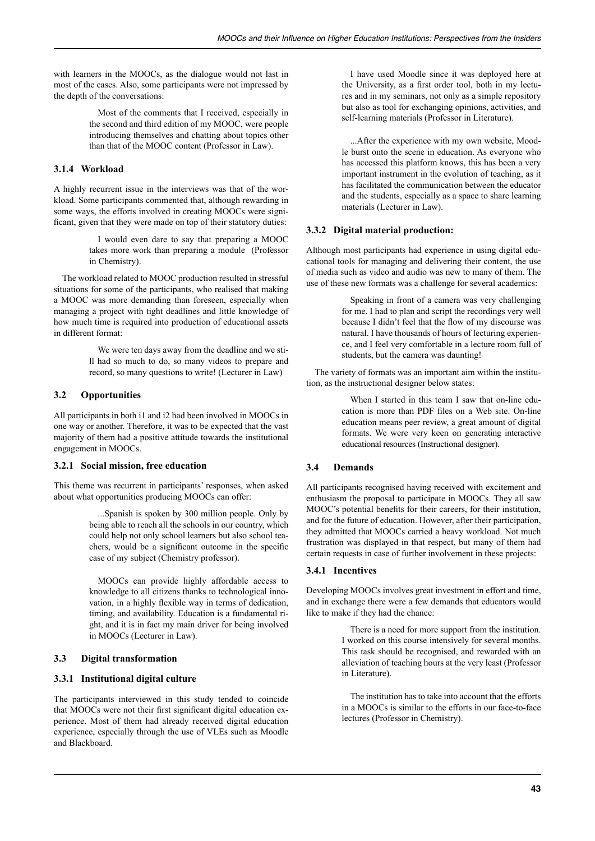with learners in the MOOCs, as the dialogue would not last in most of the cases. Also, some participants were not impressed by the depth of the conversations:

> Most of the comments that I received, especially in the second and third edition of my MOOC, were people introducing themselves and chatting about topics other than that of the MOOC content (Professor in Law).

## **3.1.4 Workload**

A highly recurrent issue in the interviews was that of the workload. Some participants commented that, although rewarding in some ways, the efforts involved in creating MOOCs were significant, given that they were made on top of their statutory duties:

> I would even dare to say that preparing a MOOC takes more work than preparing a module (Professor in Chemistry).

The workload related to MOOC production resulted in stressful situations for some of the participants, who realised that making a MOOC was more demanding than foreseen, especially when managing a project with tight deadlines and little knowledge of how much time is required into production of educational assets in different format:

> We were ten days away from the deadline and we still had so much to do, so many videos to prepare and record, so many questions to write! (Lecturer in Law)

# **3.2 Opportunities**

All participants in both i1 and i2 had been involved in MOOCs in one way or another. Therefore, it was to be expected that the vast majority of them had a positive attitude towards the institutional engagement in MOOCs.

## **3.2.1 Social mission, free education**

This theme was recurrent in participants' responses, when asked about what opportunities producing MOOCs can offer:

> ...Spanish is spoken by 300 million people. Only by being able to reach all the schools in our country, which could help not only school learners but also school teachers, would be a significant outcome in the specific case of my subject (Chemistry professor).

> MOOCs can provide highly affordable access to knowledge to all citizens thanks to technological innovation, in a highly flexible way in terms of dedication, timing, and availability. Education is a fundamental right, and it is in fact my main driver for being involved in MOOCs (Lecturer in Law).

# **3.3 Digital transformation**

## **3.3.1 Institutional digital culture**

The participants interviewed in this study tended to coincide that MOOCs were not their first significant digital education experience. Most of them had already received digital education experience, especially through the use of VLEs such as Moodle and Blackboard.

I have used Moodle since it was deployed here at the University, as a first order tool, both in my lectures and in my seminars, not only as a simple repository but also as tool for exchanging opinions, activities, and self-learning materials (Professor in Literature).

...After the experience with my own website, Moodle burst onto the scene in education. As everyone who has accessed this platform knows, this has been a very important instrument in the evolution of teaching, as it has facilitated the communication between the educator and the students, especially as a space to share learning materials (Lecturer in Law).

# **3.3.2 Digital material production:**

Although most participants had experience in using digital educational tools for managing and delivering their content, the use of media such as video and audio was new to many of them. The use of these new formats was a challenge for several academics:

> Speaking in front of a camera was very challenging for me. I had to plan and script the recordings very well because I didn't feel that the flow of my discourse was natural. I have thousands of hours of lecturing experience, and I feel very comfortable in a lecture room full of students, but the camera was daunting!

The variety of formats was an important aim within the institution, as the instructional designer below states:

> When I started in this team I saw that on-line education is more than PDF files on a Web site. On-line education means peer review, a great amount of digital formats. We were very keen on generating interactive educational resources (Instructional designer).

# **3.4 Demands**

All participants recognised having received with excitement and enthusiasm the proposal to participate in MOOCs. They all saw MOOC's potential benefits for their careers, for their institution, and for the future of education. However, after their participation, they admitted that MOOCs carried a heavy workload. Not much frustration was displayed in that respect, but many of them had certain requests in case of further involvement in these projects:

## **3.4.1 Incentives**

Developing MOOCs involves great investment in effort and time, and in exchange there were a few demands that educators would like to make if they had the chance:

> There is a need for more support from the institution. I worked on this course intensively for several months. This task should be recognised, and rewarded with an alleviation of teaching hours at the very least (Professor in Literature).

> The institution has to take into account that the efforts in a MOOCs is similar to the efforts in our face-to-face lectures (Professor in Chemistry).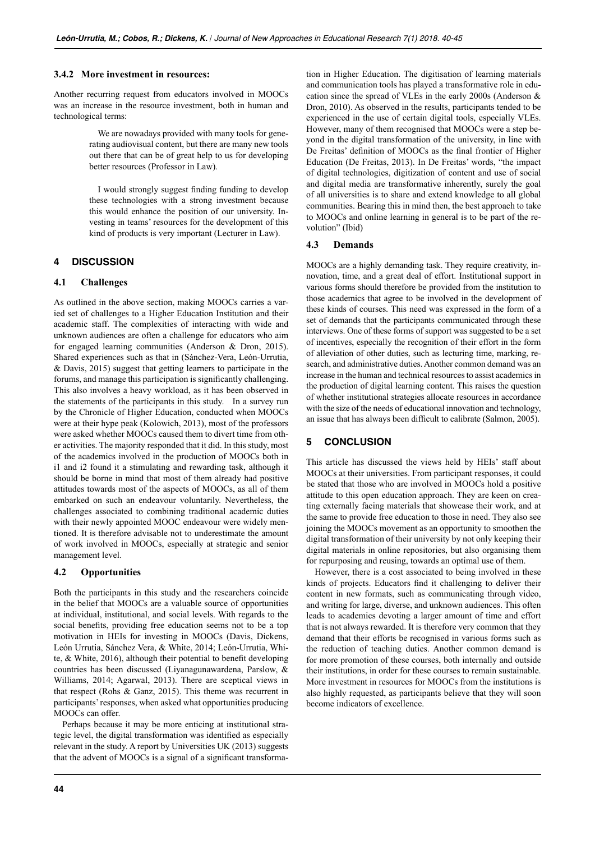#### **3.4.2 More investment in resources:**

Another recurring request from educators involved in MOOCs was an increase in the resource investment, both in human and technological terms:

> We are nowadays provided with many tools for generating audiovisual content, but there are many new tools out there that can be of great help to us for developing better resources (Professor in Law).

> I would strongly suggest finding funding to develop these technologies with a strong investment because this would enhance the position of our university. Investing in teams' resources for the development of this kind of products is very important (Lecturer in Law).

## **4 DISCUSSION**

#### **4.1 Challenges**

As outlined in the above section, making MOOCs carries a varied set of challenges to a Higher Education Institution and their academic staff. The complexities of interacting with wide and unknown audiences are often a challenge for educators who aim for engaged learning communities (Anderson & Dron, 2015). Shared experiences such as that in (Sánchez-Vera, León-Urrutia, & Davis, 2015) suggest that getting learners to participate in the forums, and manage this participation is significantly challenging. This also involves a heavy workload, as it has been observed in the statements of the participants in this study. In a survey run by the Chronicle of Higher Education, conducted when MOOCs were at their hype peak (Kolowich, 2013), most of the professors were asked whether MOOCs caused them to divert time from other activities. The majority responded that it did. In this study, most of the academics involved in the production of MOOCs both in i1 and i2 found it a stimulating and rewarding task, although it should be borne in mind that most of them already had positive attitudes towards most of the aspects of MOOCs, as all of them embarked on such an endeavour voluntarily. Nevertheless, the challenges associated to combining traditional academic duties with their newly appointed MOOC endeavour were widely mentioned. It is therefore advisable not to underestimate the amount of work involved in MOOCs, especially at strategic and senior management level.

#### **4.2 Opportunities**

Both the participants in this study and the researchers coincide in the belief that MOOCs are a valuable source of opportunities at individual, institutional, and social levels. With regards to the social benefits, providing free education seems not to be a top motivation in HEIs for investing in MOOCs (Davis, Dickens, León Urrutia, Sánchez Vera, & White, 2014; León-Urrutia, White, & White, 2016), although their potential to benefit developing countries has been discussed (Liyanagunawardena, Parslow, & Williams, 2014; Agarwal, 2013). There are sceptical views in that respect (Rohs & Ganz, 2015). This theme was recurrent in participants' responses, when asked what opportunities producing MOOCs can offer.

Perhaps because it may be more enticing at institutional strategic level, the digital transformation was identified as especially relevant in the study. A report by Universities UK (2013) suggests that the advent of MOOCs is a signal of a significant transformation in Higher Education. The digitisation of learning materials and communication tools has played a transformative role in education since the spread of VLEs in the early 2000s (Anderson & Dron, 2010). As observed in the results, participants tended to be experienced in the use of certain digital tools, especially VLEs. However, many of them recognised that MOOCs were a step beyond in the digital transformation of the university, in line with De Freitas' definition of MOOCs as the final frontier of Higher Education (De Freitas, 2013). In De Freitas' words, "the impact of digital technologies, digitization of content and use of social and digital media are transformative inherently, surely the goal of all universities is to share and extend knowledge to all global communities. Bearing this in mind then, the best approach to take to MOOCs and online learning in general is to be part of the revolution" (Ibid)

#### **4.3 Demands**

MOOCs are a highly demanding task. They require creativity, innovation, time, and a great deal of effort. Institutional support in various forms should therefore be provided from the institution to those academics that agree to be involved in the development of these kinds of courses. This need was expressed in the form of a set of demands that the participants communicated through these interviews. One of these forms of support was suggested to be a set of incentives, especially the recognition of their effort in the form of alleviation of other duties, such as lecturing time, marking, research, and administrative duties. Another common demand was an increase in the human and technical resources to assist academics in the production of digital learning content. This raises the question of whether institutional strategies allocate resources in accordance with the size of the needs of educational innovation and technology, an issue that has always been difficult to calibrate (Salmon, 2005).

## **5 CONCLUSION**

This article has discussed the views held by HEIs' staff about MOOCs at their universities. From participant responses, it could be stated that those who are involved in MOOCs hold a positive attitude to this open education approach. They are keen on creating externally facing materials that showcase their work, and at the same to provide free education to those in need. They also see joining the MOOCs movement as an opportunity to smoothen the digital transformation of their university by not only keeping their digital materials in online repositories, but also organising them for repurposing and reusing, towards an optimal use of them.

However, there is a cost associated to being involved in these kinds of projects. Educators find it challenging to deliver their content in new formats, such as communicating through video, and writing for large, diverse, and unknown audiences. This often leads to academics devoting a larger amount of time and effort that is not always rewarded. It is therefore very common that they demand that their efforts be recognised in various forms such as the reduction of teaching duties. Another common demand is for more promotion of these courses, both internally and outside their institutions, in order for these courses to remain sustainable. More investment in resources for MOOCs from the institutions is also highly requested, as participants believe that they will soon become indicators of excellence.